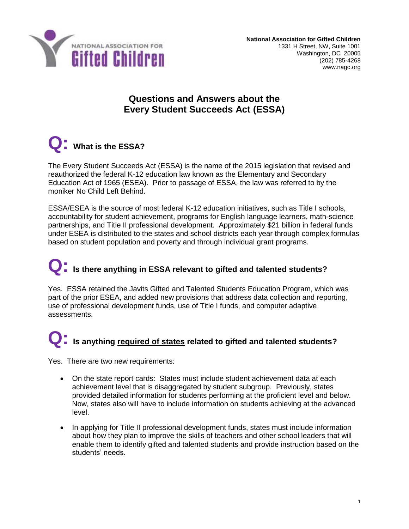

### **Questions and Answers about the Every Student Succeeds Act (ESSA)**

## **Q: What is the ESSA?**

The Every Student Succeeds Act (ESSA) is the name of the 2015 legislation that revised and reauthorized the federal K-12 education law known as the Elementary and Secondary Education Act of 1965 (ESEA). Prior to passage of ESSA, the law was referred to by the moniker No Child Left Behind.

ESSA/ESEA is the source of most federal K-12 education initiatives, such as Title I schools, accountability for student achievement, programs for English language learners, math-science partnerships, and Title II professional development. Approximately \$21 billion in federal funds under ESEA is distributed to the states and school districts each year through complex formulas based on student population and poverty and through individual grant programs.

# **Q: Is there anything in ESSA relevant to gifted and talented students?**

Yes. ESSA retained the Javits Gifted and Talented Students Education Program, which was part of the prior ESEA, and added new provisions that address data collection and reporting, use of professional development funds, use of Title I funds, and computer adaptive assessments.

## **Q: Is anything required of states related to gifted and talented students?**

Yes. There are two new requirements:

- On the state report cards: States must include student achievement data at each achievement level that is disaggregated by student subgroup. Previously, states provided detailed information for students performing at the proficient level and below. Now, states also will have to include information on students achieving at the advanced level.
- In applying for Title II professional development funds, states must include information about how they plan to improve the skills of teachers and other school leaders that will enable them to identify gifted and talented students and provide instruction based on the students' needs.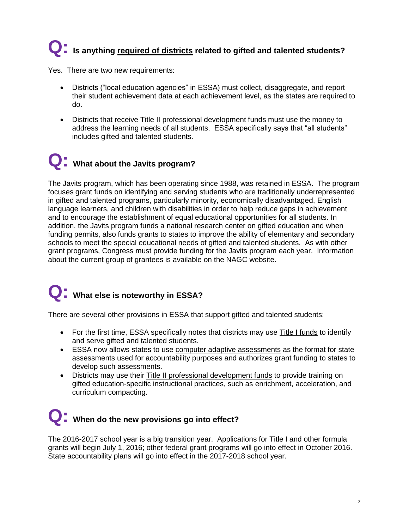# **Q: Is anything required of districts related to gifted and talented students?**

Yes. There are two new requirements:

- Districts ("local education agencies" in ESSA) must collect, disaggregate, and report their student achievement data at each achievement level, as the states are required to do.
- Districts that receive Title II professional development funds must use the money to address the learning needs of all students. ESSA specifically says that "all students" includes gifted and talented students.

### **Q: What about the Javits program?**

The Javits program, which has been operating since 1988, was retained in ESSA. The program focuses grant funds on identifying and serving students who are traditionally underrepresented in gifted and talented programs, particularly minority, economically disadvantaged, English language learners, and children with disabilities in order to help reduce gaps in achievement and to encourage the establishment of equal educational opportunities for all students. In addition, the Javits program funds a national research center on gifted education and when funding permits, also funds grants to states to improve the ability of elementary and secondary schools to meet the special educational needs of gifted and talented students. As with other grant programs, Congress must provide funding for the Javits program each year. Information about the current group of grantees is available on the NAGC website.

### **Q: What else is noteworthy in ESSA?**

There are several other provisions in ESSA that support gifted and talented students:

- For the first time, ESSA specifically notes that districts may use Title I funds to identify and serve gifted and talented students.
- ESSA now allows states to use computer adaptive assessments as the format for state assessments used for accountability purposes and authorizes grant funding to states to develop such assessments.
- Districts may use their Title II professional development funds to provide training on gifted education-specific instructional practices, such as enrichment, acceleration, and curriculum compacting.

### **Q: When do the new provisions go into effect?**

The 2016-2017 school year is a big transition year. Applications for Title I and other formula grants will begin July 1, 2016; other federal grant programs will go into effect in October 2016. State accountability plans will go into effect in the 2017-2018 school year.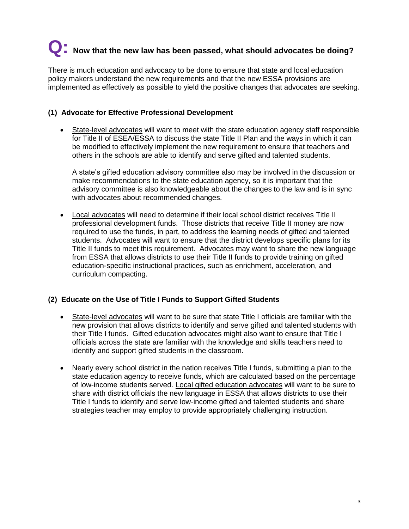# **Q: Now that the new law has been passed, what should advocates be doing?**

There is much education and advocacy to be done to ensure that state and local education policy makers understand the new requirements and that the new ESSA provisions are implemented as effectively as possible to yield the positive changes that advocates are seeking.

#### **(1) Advocate for Effective Professional Development**

 State-level advocates will want to meet with the state education agency staff responsible for Title II of ESEA/ESSA to discuss the state Title II Plan and the ways in which it can be modified to effectively implement the new requirement to ensure that teachers and others in the schools are able to identify and serve gifted and talented students.

A state's gifted education advisory committee also may be involved in the discussion or make recommendations to the state education agency, so it is important that the advisory committee is also knowledgeable about the changes to the law and is in sync with advocates about recommended changes.

 Local advocates will need to determine if their local school district receives Title II professional development funds. Those districts that receive Title II money are now required to use the funds, in part, to address the learning needs of gifted and talented students. Advocates will want to ensure that the district develops specific plans for its Title II funds to meet this requirement. Advocates may want to share the new language from ESSA that allows districts to use their Title II funds to provide training on gifted education-specific instructional practices, such as enrichment, acceleration, and curriculum compacting.

### **(2) Educate on the Use of Title I Funds to Support Gifted Students**

- State-level advocates will want to be sure that state Title I officials are familiar with the new provision that allows districts to identify and serve gifted and talented students with their Title I funds. Gifted education advocates might also want to ensure that Title I officials across the state are familiar with the knowledge and skills teachers need to identify and support gifted students in the classroom.
- Nearly every school district in the nation receives Title I funds, submitting a plan to the state education agency to receive funds, which are calculated based on the percentage of low-income students served. Local gifted education advocates will want to be sure to share with district officials the new language in ESSA that allows districts to use their Title I funds to identify and serve low-income gifted and talented students and share strategies teacher may employ to provide appropriately challenging instruction.